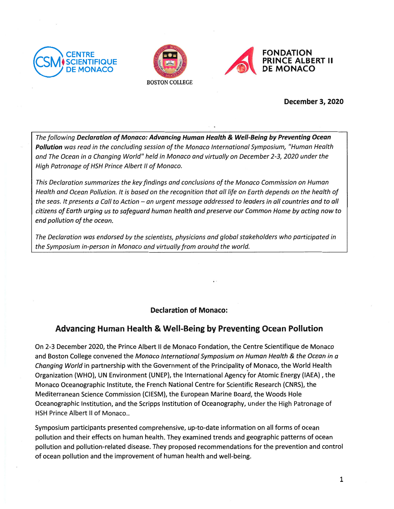





December 3, 2020

The following Declaration of Monaco: Advancing Human Health & WeIl-Being by Preventing Ocean Pollution was read in the concluding session of the Monaco International Symposium, "Human Health and The Ocean in a Changing World" held in Monaco and virtually on December 2-3, 2020 under the High Patronage of HSH Prince Albert Il of Monaco.

This Declaration summarizes the keyfindings and conclusions of the Monaco Commission on Human Health and Ocean Pollution. lt is based on the recognition that ail life on Earth depends on the health of the seas. It presents o CalI to Action — an urgent message addressed to leaders in ail countries and to ail citizens of Earth urging us to safeguard human health and preserve our Common Home by acting now to end pollution of the ocean.

The Declaration was endorsed by the scientists, physicians and global stakeholders who participated in the Symposium in-person in Monaco and virtually from around the world.

# Declaration of Monaco:

# Advancing Human Health & WeII-Being by Preventing Ocean Pollution

On 2-3 December 2020, the Prince Albert II de Monaco Fondation, the Centre Scientifique de Monaco and Boston College convened the Monaco International Symposium on Human Health & the Ocean in a Changing World in partnership with the Government of the Principality of Monaco, the World Health Organization (WHO), UN Environment (UNEP), the International Agency for Atomic Energy (IAEA) , the Monaco Oceanographic Institute, the French National Centre for Scientific Research (CNRS), the Mediterranean Science Commission (CIESM), the European Marine Board, the Woods Hole Oceanographic Institution, and the Scripps lnstitution of Oceanography, under the High Patronage of HSH Prince Albert Il of Monaco..

Symposium participants presented comprehensive, up-to-date information on aIl forms of ocean pollution and their effects on human health. They examined trends and geographic patterns of ocean pollution and pollution-related disease. They proposed recommendations for the prevention and control of ocean pollution and the improvement of human health and weIl-being.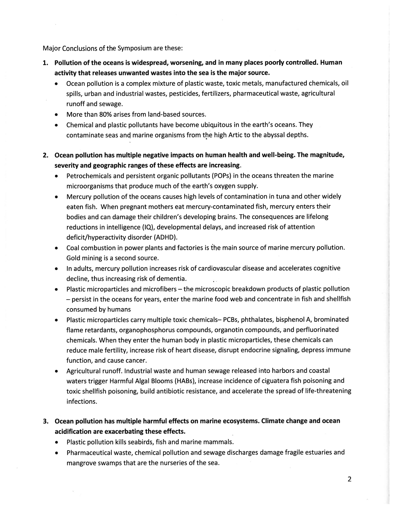Major Conclusions of the Symposium are these:

- L Pollution of the oceans is widespread, worsening, and in many places poorly controlled. Human activity that releases unwanted wastes into the sea is the major source.
	- . Ocean pollution is <sup>a</sup> complex mixture of plastic waste, toxic metals, manufactured chemicals, oil spills, urban and industrial wastes, pesticides, fertilizers, pharmaceutical waste, agricultural runoff and sewage.
	- . More than 80% arises from land-based sources.
	- Chemical and plastic pollutants have become ubiquitous in the earth's oceans. They contaminate seas and marine organisms from the high Artic to the abyssal depths.
- 2. Ocean pollution has multiple negative impacts on human health and well-being. The magnitude, severity and geographic ranges of these effects are increasing.
	- . Petrochemicals and persistent organic pollutants (POPs) in the oceans threaten the marine microorganisms that produce much of the earth's oxygen supply.
	- . Mercury pollution of the oceans causes high levels cf contamination in tuna and other widely eaten fish. When pregnant mothers eat mercury-contaminated fish, mercury enters their bodies and can damage their children's developing brains. The consequences are lifelong reductions in intelligence (lQ), developmental delays, and increased risk of attention deficit/hyperactivity disorder (ADHD).
	- . Coal combustion in power plants and factories is fhe main source of marine mercury pollution. Gold mining is a second source.
	- . In adults, mercury pollution increases risk of cardiovascular disease and accelerates cognitive decline, thus increasing risk of dementia.
	- . Plastic microparticles and microfibers the microscopic breakdown products of plastic pollution — persist in the oceans for years, enter the marine food web and concentrate in fish and shellfish consumed by humans
	- . Plastic microparticles carry multiple toxic chemicals— PCBs, phthalates, bisphenol A, brominated flame retardants, organophosphorus compounds, organotin compounds, and perfluorinated chemicals. When they enter the human body in plastic microparticles, these chemicals can reduce male fertility, increase risk of heart disease, disrupt endocrine signaling, depress immune function, and cause cancer.
	- . Agricultural runoff. Industrial waste and human sewage released into harbors and coastal waters trigger Harmful Algal Blooms (HABs), increase incidence of ciguatera fish poisoning and toxic shellfish poisoning, build antibiotic resistance, and accelerate the spread of life-threatening infections.
- 3. Ocean pollution has multiple harmful effects on marine ecosystems. Climate change and ocean acidification are exacerbating these effects.
	- . Plastic pollution kills seabirds, fish and marine mammals.
	- . Pharmaceutical waste, chemical pollution and sewage discharges damage fragile estuaries and mangrove swamps that are the nurseries of the sea.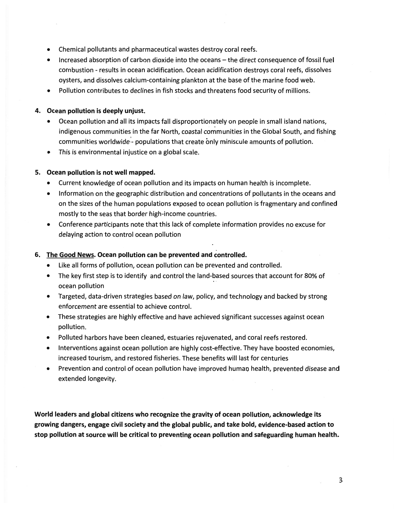- Chemical pollutants and pharmaceutical wastes destroy coral reefs.
- Increased absorption of carbon dioxide into the oceans the direct consequence of fossil fuel  $\bullet$ combustion - results in ocean acidification. Ocean acidification destroys coral reefs, dissolves oysters, and dissolves calcium-containing plankton at the base of the marine food web.
- Pollution contributes to declines in fish stocks and threatens food security of millions.

### 4. Ocean pollution is deeply unjust.

- Ocean pollution and all its impacts fall disproportionately on people in small island nations,  $\bullet$ indigenous communities in the far North, coastal communities in the Global South, and fishing communities worldwide - populations that create only miniscule amounts of pollution.
- This is environmental injustice on a global scale.  $\bullet$

## 5. Ocean pollution is not well mapped.

- Current knowledge of ocean pollution and its impacts on human health is incomplete.
- Information on the geographic distribution and concentrations of pollutants in the oceans and on the sizes of the human populations exposed to ocean pollution is fragmentary and confined mostly to the seas that border high-income countries.
- Conference participants note that this lack of complete information provides no excuse for  $\bullet$ delaving action to control ocean pollution

### 6. The Good News. Ocean pollution can be prevented and controlled.

- Like all forms of pollution, ocean pollution can be prevented and controlled.
- The key first step is to identify and control the land-based sources that account for 80% of  $\bullet$ ocean pollution
- Targeted, data-driven strategies based on law, policy, and technology and backed by strong enforcement are essential to achieve control.
- These strategies are highly effective and have achieved significant successes against ocean pollution.
- Polluted harbors have been cleaned, estuaries rejuvenated, and coral reefs restored.  $\bullet$
- Interventions against ocean pollution are highly cost-effective. They have boosted economies, increased tourism, and restored fisheries. These benefits will last for centuries
- Prevention and control of ocean pollution have improved human health, prevented disease and extended longevity.

World leaders and global citizens who recognize the gravity of ocean pollution, acknowledge its growing dangers, engage civil society and the global public, and take bold, evidence-based action to stop pollution at source will be critical to preventing ocean pollution and safeguarding human health.

3